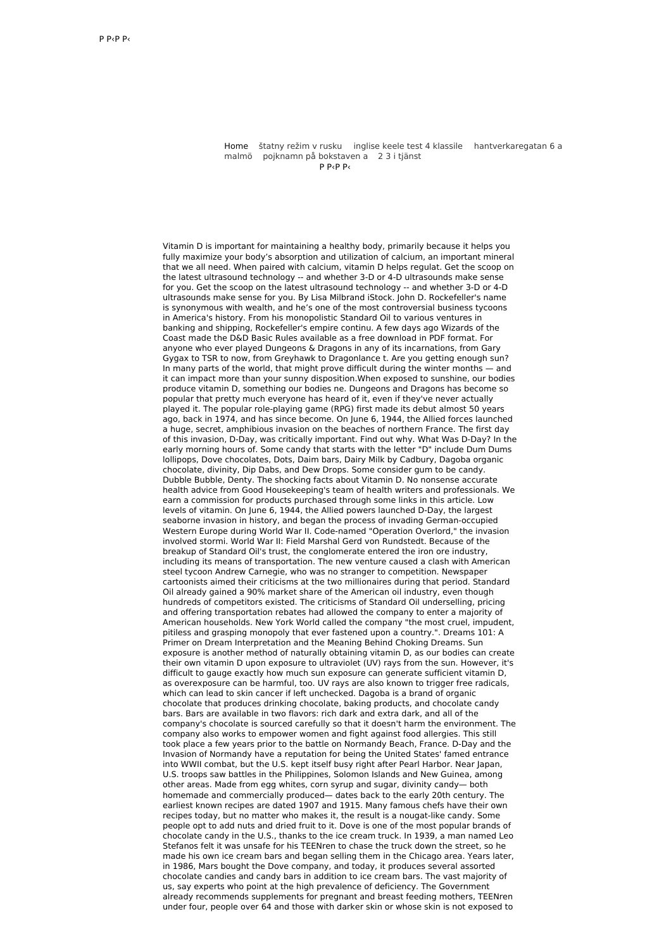Home [štatny](http://manufakturawakame.pl/xJ) režim v rusku inglise keele test 4 [klassile](http://manufakturawakame.pl/Ebj) [hantverkaregatan](http://manufakturawakame.pl/oRu) 6 a malmö pojknamn på [bokstaven](http://bajbe.pl/Bqw) a 2 3 i [tjänst](http://manufakturawakame.pl/x6s)  $P$  Р $\epsilon$ Р $\epsilon$ 

Vitamin D is important for maintaining a healthy body, primarily because it helps you fully maximize your body's absorption and utilization of calcium, an important mineral that we all need. When paired with calcium, vitamin D helps regulat. Get the scoop on the latest ultrasound technology -- and whether 3-D or 4-D ultrasounds make sense for you. Get the scoop on the latest ultrasound technology -- and whether 3-D or 4-D ultrasounds make sense for you. By Lisa Milbrand iStock. John D. Rockefeller's name is synonymous with wealth, and he's one of the most controversial business tycoons in America's history. From his monopolistic Standard Oil to various ventures in banking and shipping, Rockefeller's empire continu. A few days ago Wizards of the Coast made the D&D Basic Rules available as a free download in PDF format. For anyone who ever played Dungeons & Dragons in any of its incarnations, from Gary Gygax to TSR to now, from Greyhawk to Dragonlance t. Are you getting enough sun? In many parts of the world, that might prove difficult during the winter months — and it can impact more than your sunny disposition.When exposed to sunshine, our bodies produce vitamin D, something our bodies ne. Dungeons and Dragons has become so popular that pretty much everyone has heard of it, even if they've never actually played it. The popular role-playing game (RPG) first made its debut almost 50 years ago, back in 1974, and has since become. On June 6, 1944, the Allied forces launched a huge, secret, amphibious invasion on the beaches of northern France. The first day of this invasion, D-Day, was critically important. Find out why. What Was D-Day? In the early morning hours of. Some candy that starts with the letter "D" include Dum Dums lollipops, Dove chocolates, Dots, Daim bars, Dairy Milk by Cadbury, Dagoba organic chocolate, divinity, Dip Dabs, and Dew Drops. Some consider gum to be candy. Dubble Bubble, Denty. The shocking facts about Vitamin D. No nonsense accurate health advice from Good Housekeeping's team of health writers and professionals. We earn a commission for products purchased through some links in this article. Low levels of vitamin. On June 6, 1944, the Allied powers launched D-Day, the largest seaborne invasion in history, and began the process of invading German-occupied Western Europe during World War II. Code-named "Operation Overlord," the invasion involved stormi. World War II: Field Marshal Gerd von Rundstedt. Because of the breakup of Standard Oil's trust, the conglomerate entered the iron ore industry, including its means of transportation. The new venture caused a clash with American steel tycoon Andrew Carnegie, who was no stranger to competition. Newspaper cartoonists aimed their criticisms at the two millionaires during that period. Standard Oil already gained a 90% market share of the American oil industry, even though hundreds of competitors existed. The criticisms of Standard Oil underselling, pricing and offering transportation rebates had allowed the company to enter a majority of American households. New York World called the company "the most cruel, impudent, pitiless and grasping monopoly that ever fastened upon a country.". Dreams 101: A Primer on Dream Interpretation and the Meaning Behind Choking Dreams. Sun exposure is another method of naturally obtaining vitamin D, as our bodies can create their own vitamin D upon exposure to ultraviolet (UV) rays from the sun. However, it's difficult to gauge exactly how much sun exposure can generate sufficient vitamin D, as overexposure can be harmful, too. UV rays are also known to trigger free radicals, which can lead to skin cancer if left unchecked. Dagoba is a brand of organic chocolate that produces drinking chocolate, baking products, and chocolate candy bars. Bars are available in two flavors: rich dark and extra dark, and all of the company's chocolate is sourced carefully so that it doesn't harm the environment. The company also works to empower women and fight against food allergies. This still took place a few years prior to the battle on Normandy Beach, France. D-Day and the Invasion of Normandy have a reputation for being the United States' famed entrance into WWII combat, but the U.S. kept itself busy right after Pearl Harbor. Near Japan, U.S. troops saw battles in the Philippines, Solomon Islands and New Guinea, among other areas. Made from egg whites, corn syrup and sugar, divinity candy— both homemade and commercially produced— dates back to the early 20th century. The earliest known recipes are dated 1907 and 1915. Many famous chefs have their own recipes today, but no matter who makes it, the result is a nougat-like candy. Some people opt to add nuts and dried fruit to it. Dove is one of the most popular brands of chocolate candy in the U.S., thanks to the ice cream truck. In 1939, a man named Leo Stefanos felt it was unsafe for his TEENren to chase the truck down the street, so he made his own ice cream bars and began selling them in the Chicago area. Years later, in 1986, Mars bought the Dove company, and today, it produces several assorted chocolate candies and candy bars in addition to ice cream bars. The vast majority of us, say experts who point at the high prevalence of deficiency. The Government already recommends supplements for pregnant and breast feeding mothers, TEENren under four, people over 64 and those with darker skin or whose skin is not exposed to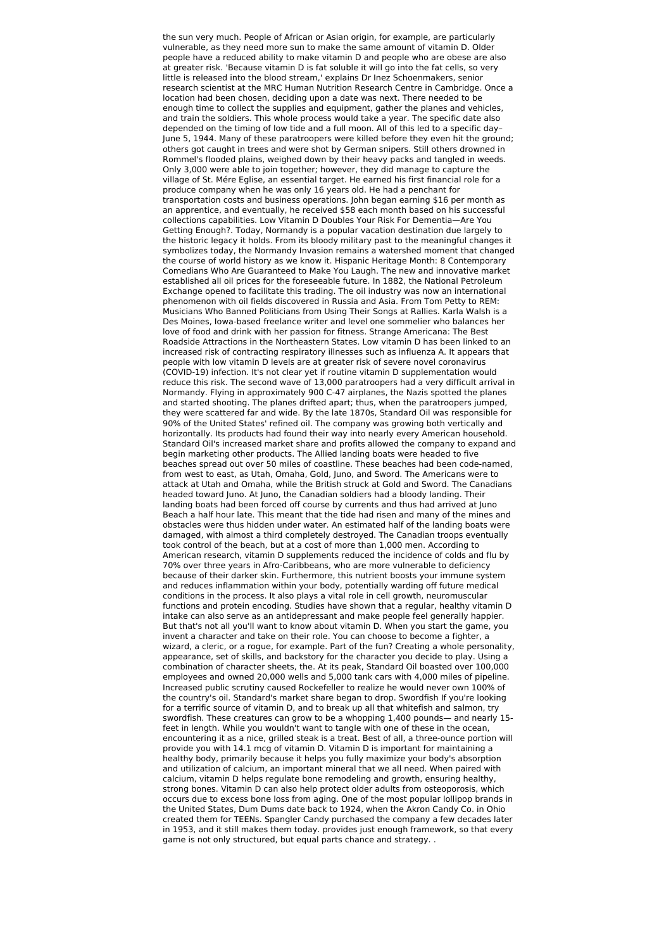the sun very much. People of African or Asian origin, for example, are particularly vulnerable, as they need more sun to make the same amount of vitamin D. Older people have a reduced ability to make vitamin D and people who are obese are also at greater risk. 'Because vitamin D is fat soluble it will go into the fat cells, so very little is released into the blood stream,' explains Dr Inez Schoenmakers, senior research scientist at the MRC Human Nutrition Research Centre in Cambridge. Once a location had been chosen, deciding upon a date was next. There needed to be enough time to collect the supplies and equipment, gather the planes and vehicles, and train the soldiers. This whole process would take a year. The specific date also depended on the timing of low tide and a full moon. All of this led to a specific day– June 5, 1944. Many of these paratroopers were killed before they even hit the ground; others got caught in trees and were shot by German snipers. Still others drowned in Rommel's flooded plains, weighed down by their heavy packs and tangled in weeds. Only 3,000 were able to join together; however, they did manage to capture the village of St. Mére Eglise, an essential target. He earned his first financial role for a produce company when he was only 16 years old. He had a penchant for transportation costs and business operations. John began earning \$16 per month as an apprentice, and eventually, he received \$58 each month based on his successful collections capabilities. Low Vitamin D Doubles Your Risk For Dementia—Are You Getting Enough?. Today, Normandy is a popular vacation destination due largely to the historic legacy it holds. From its bloody military past to the meaningful changes it symbolizes today, the Normandy Invasion remains a watershed moment that changed the course of world history as we know it. Hispanic Heritage Month: 8 Contemporary Comedians Who Are Guaranteed to Make You Laugh. The new and innovative market established all oil prices for the foreseeable future. In 1882, the National Petroleum Exchange opened to facilitate this trading. The oil industry was now an international phenomenon with oil fields discovered in Russia and Asia. From Tom Petty to REM: Musicians Who Banned Politicians from Using Their Songs at Rallies. Karla Walsh is a Des Moines, Iowa-based freelance writer and level one sommelier who balances her love of food and drink with her passion for fitness. Strange Americana: The Best Roadside Attractions in the Northeastern States. Low vitamin D has been linked to an increased risk of contracting respiratory illnesses such as influenza A. It appears that people with low vitamin D levels are at greater risk of severe novel coronavirus (COVID-19) infection. It's not clear yet if routine vitamin D supplementation would reduce this risk. The second wave of 13,000 paratroopers had a very difficult arrival in Normandy. Flying in approximately 900 C-47 airplanes, the Nazis spotted the planes and started shooting. The planes drifted apart; thus, when the paratroopers jumped, they were scattered far and wide. By the late 1870s, Standard Oil was responsible for 90% of the United States' refined oil. The company was growing both vertically and horizontally. Its products had found their way into nearly every American household. Standard Oil's increased market share and profits allowed the company to expand and begin marketing other products. The Allied landing boats were headed to five beaches spread out over 50 miles of coastline. These beaches had been code-named, from west to east, as Utah, Omaha, Gold, Juno, and Sword. The Americans were to attack at Utah and Omaha, while the British struck at Gold and Sword. The Canadians headed toward Juno. At Juno, the Canadian soldiers had a bloody landing. Their landing boats had been forced off course by currents and thus had arrived at Juno Beach a half hour late. This meant that the tide had risen and many of the mines and obstacles were thus hidden under water. An estimated half of the landing boats were damaged, with almost a third completely destroyed. The Canadian troops eventually took control of the beach, but at a cost of more than 1,000 men. According to American research, vitamin D supplements reduced the incidence of colds and flu by 70% over three years in Afro-Caribbeans, who are more vulnerable to deficiency because of their darker skin. Furthermore, this nutrient boosts your immune system and reduces inflammation within your body, potentially warding off future medical conditions in the process. It also plays a vital role in cell growth, neuromuscular functions and protein encoding. Studies have shown that a regular, healthy vitamin D intake can also serve as an antidepressant and make people feel generally happier. But that's not all you'll want to know about vitamin D. When you start the game, you invent a character and take on their role. You can choose to become a fighter, a wizard, a cleric, or a rogue, for example. Part of the fun? Creating a whole personality, appearance, set of skills, and backstory for the character you decide to play. Using a combination of character sheets, the. At its peak, Standard Oil boasted over 100,000 employees and owned 20,000 wells and 5,000 tank cars with 4,000 miles of pipeline. Increased public scrutiny caused Rockefeller to realize he would never own 100% of the country's oil. Standard's market share began to drop. Swordfish If you're looking for a terrific source of vitamin D, and to break up all that whitefish and salmon, try swordfish. These creatures can grow to be a whopping 1,400 pounds— and nearly 15 feet in length. While you wouldn't want to tangle with one of these in the ocean, encountering it as a nice, grilled steak is a treat. Best of all, a three-ounce portion will provide you with 14.1 mcg of vitamin D. Vitamin D is important for maintaining a healthy body, primarily because it helps you fully maximize your body's absorption and utilization of calcium, an important mineral that we all need. When paired with calcium, vitamin D helps regulate bone remodeling and growth, ensuring healthy, strong bones. Vitamin D can also help protect older adults from osteoporosis, which occurs due to excess bone loss from aging. One of the most popular lollipop brands in the United States, Dum Dums date back to 1924, when the Akron Candy Co. in Ohio created them for TEENs. Spangler Candy purchased the company a few decades later in 1953, and it still makes them today. provides just enough framework, so that every game is not only structured, but equal parts chance and strategy. .